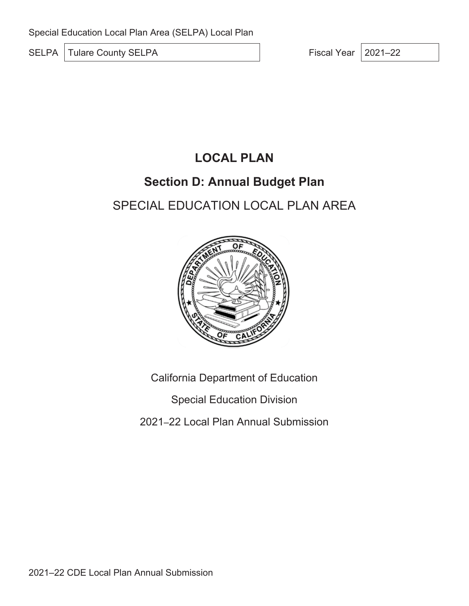SELPA Tulare County SELPA Fiscal Year 2021–22

# **LOCAL PLAN**

# **Section D: Annual Budget Plan**

# SPECIAL EDUCATION LOCAL PLAN AREA



California Department of Education

Special Education Division

2021–22 Local Plan Annual Submission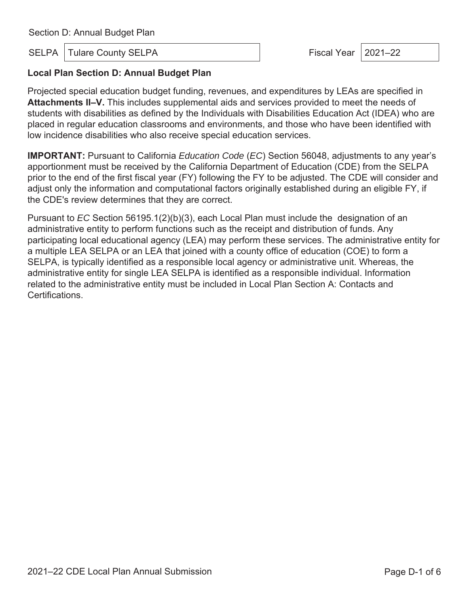SELPA | Tulare County SELPA Fiscal Year | 2021–22

### **Local Plan Section D: Annual Budget Plan**

Projected special education budget funding, revenues, and expenditures by LEAs are specified in **Attachments II–V.** This includes supplemental aids and services provided to meet the needs of students with disabilities as defined by the Individuals with Disabilities Education Act (IDEA) who are placed in regular education classrooms and environments, and those who have been identified with low incidence disabilities who also receive special education services.

**IMPORTANT:** Pursuant to California *Education Code* (*EC*) Section 56048, adjustments to any year's apportionment must be received by the California Department of Education (CDE) from the SELPA prior to the end of the first fiscal year (FY) following the FY to be adjusted. The CDE will consider and adjust only the information and computational factors originally established during an eligible FY, if the CDE's review determines that they are correct.

Pursuant to *EC* Section 56195.1(2)(b)(3), each Local Plan must include the designation of an administrative entity to perform functions such as the receipt and distribution of funds. Any participating local educational agency (LEA) may perform these services. The administrative entity for a multiple LEA SELPA or an LEA that joined with a county office of education (COE) to form a SELPA, is typically identified as a responsible local agency or administrative unit. Whereas, the administrative entity for single LEA SELPA is identified as a responsible individual. Information related to the administrative entity must be included in Local Plan Section A: Contacts and Certifications.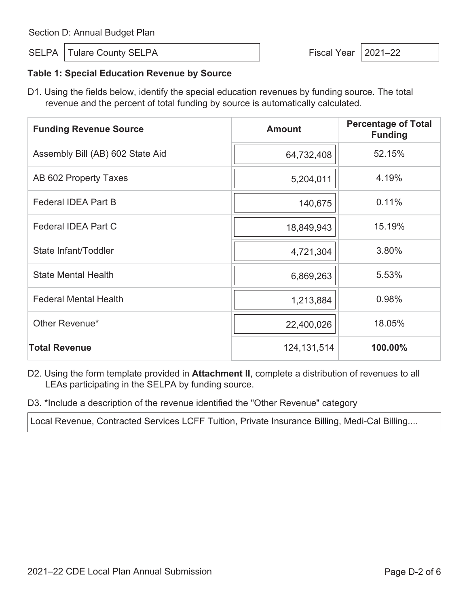SELPA | Tulare County SELPA  $\vert$  Fiscal Year | 2021–22

#### **Table 1: Special Education Revenue by Source**

D1. Using the fields below, identify the special education revenues by funding source. The total revenue and the percent of total funding by source is automatically calculated.

| <b>Funding Revenue Source</b>    | <b>Amount</b> | <b>Percentage of Total</b><br><b>Funding</b> |
|----------------------------------|---------------|----------------------------------------------|
| Assembly Bill (AB) 602 State Aid | 64,732,408    | 52.15%                                       |
| AB 602 Property Taxes            | 5,204,011     | 4.19%                                        |
| <b>Federal IDEA Part B</b>       | 140,675       | 0.11%                                        |
| <b>Federal IDEA Part C</b>       | 18,849,943    | 15.19%                                       |
| State Infant/Toddler             | 4,721,304     | 3.80%                                        |
| <b>State Mental Health</b>       | 6,869,263     | 5.53%                                        |
| <b>Federal Mental Health</b>     | 1,213,884     | 0.98%                                        |
| Other Revenue*                   | 22,400,026    | 18.05%                                       |
| <b>Total Revenue</b>             | 124, 131, 514 | 100.00%                                      |

- D2. Using the form template provided in **Attachment II**, complete a distribution of revenues to all LEAs participating in the SELPA by funding source.
- D3. \*Include a description of the revenue identified the "Other Revenue" category

Local Revenue, Contracted Services LCFF Tuition, Private Insurance Billing, Medi-Cal Billing....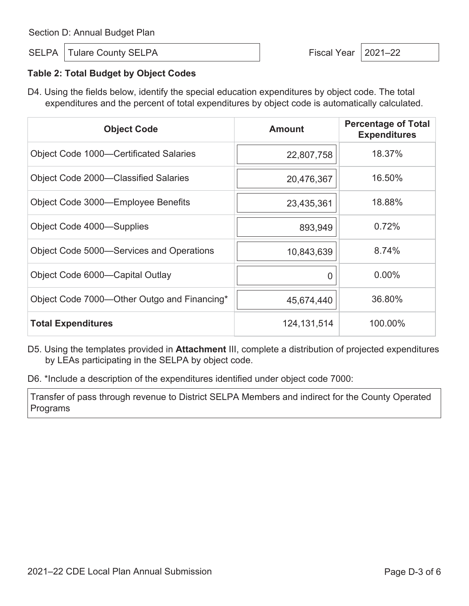SELPA | Tulare County SELPA  $\vert$  Fiscal Year | 2021–22

### **Table 2: Total Budget by Object Codes**

D4. Using the fields below, identify the special education expenditures by object code. The total expenditures and the percent of total expenditures by object code is automatically calculated.

| <b>Object Code</b>                            | <b>Amount</b> | <b>Percentage of Total</b><br><b>Expenditures</b> |
|-----------------------------------------------|---------------|---------------------------------------------------|
| <b>Object Code 1000–Certificated Salaries</b> | 22,807,758    | 18.37%                                            |
| Object Code 2000-Classified Salaries          | 20,476,367    | 16.50%                                            |
| Object Code 3000—Employee Benefits            | 23,435,361    | 18.88%                                            |
| Object Code 4000—Supplies                     | 893,949       | 0.72%                                             |
| Object Code 5000—Services and Operations      | 10,843,639    | 8.74%                                             |
| Object Code 6000—Capital Outlay               | U             | $0.00\%$                                          |
| Object Code 7000—Other Outgo and Financing*   | 45,674,440    | 36.80%                                            |
| <b>Total Expenditures</b>                     | 124,131,514   | 100.00%                                           |

D5. Using the templates provided in **Attachment** III, complete a distribution of projected expenditures by LEAs participating in the SELPA by object code.

D6. \*Include a description of the expenditures identified under object code 7000:

Transfer of pass through revenue to District SELPA Members and indirect for the County Operated Programs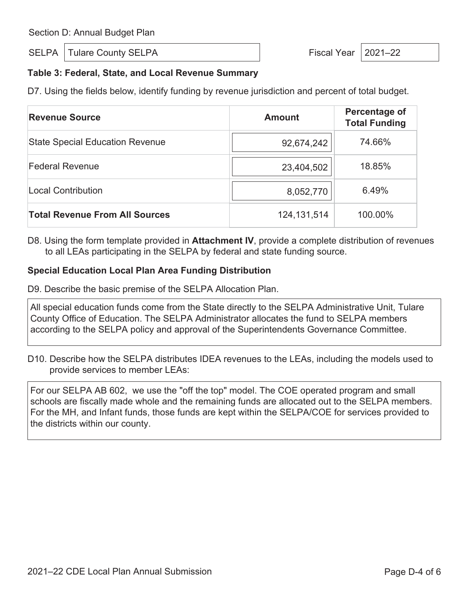SELPA | Tulare County SELPA Fiscal Year | 2021–22

### **Table 3: Federal, State, and Local Revenue Summary**

D7. Using the fields below, identify funding by revenue jurisdiction and percent of total budget.

| <b>Revenue Source</b>                  | <b>Amount</b> | Percentage of<br><b>Total Funding</b> |
|----------------------------------------|---------------|---------------------------------------|
| <b>State Special Education Revenue</b> | 92,674,242    | 74.66%                                |
| <b>Federal Revenue</b>                 | 23,404,502    | 18.85%                                |
| <b>Local Contribution</b>              | 8,052,770     | 6.49%                                 |
| <b>Total Revenue From All Sources</b>  | 124, 131, 514 | 100.00%                               |

D8. Using the form template provided in **Attachment IV**, provide a complete distribution of revenues to all LEAs participating in the SELPA by federal and state funding source.

#### **Special Education Local Plan Area Funding Distribution**

D9. Describe the basic premise of the SELPA Allocation Plan.

All special education funds come from the State directly to the SELPA Administrative Unit, Tulare County Office of Education. The SELPA Administrator allocates the fund to SELPA members according to the SELPA policy and approval of the Superintendents Governance Committee.

D10. Describe how the SELPA distributes IDEA revenues to the LEAs, including the models used to provide services to member LEAs:

For our SELPA AB 602, we use the "off the top" model. The COE operated program and small schools are fiscally made whole and the remaining funds are allocated out to the SELPA members. For the MH, and Infant funds, those funds are kept within the SELPA/COE for services provided to the districts within our county.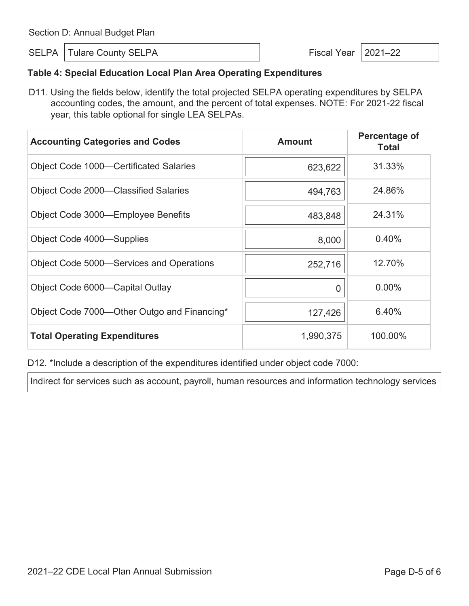SELPA | Tulare County SELPA  $\vert$  Fiscal Year | 2021–22

### **Table 4: Special Education Local Plan Area Operating Expenditures**

D11. Using the fields below, identify the total projected SELPA operating expenditures by SELPA accounting codes, the amount, and the percent of total expenses. NOTE: For 2021-22 fiscal year, this table optional for single LEA SELPAs.

| <b>Accounting Categories and Codes</b>        | <b>Amount</b> | Percentage of<br><b>Total</b> |
|-----------------------------------------------|---------------|-------------------------------|
| <b>Object Code 1000–Certificated Salaries</b> | 623,622       | 31.33%                        |
| Object Code 2000-Classified Salaries          | 494,763       | 24.86%                        |
| Object Code 3000—Employee Benefits            | 483,848       | 24.31%                        |
| Object Code 4000—Supplies                     | 8,000         | 0.40%                         |
| Object Code 5000—Services and Operations      | 252,716       | 12.70%                        |
| Object Code 6000—Capital Outlay               | O             | $0.00\%$                      |
| Object Code 7000-Other Outgo and Financing*   | 127,426       | 6.40%                         |
| <b>Total Operating Expenditures</b>           | 1,990,375     | 100.00%                       |

D12. \*Include a description of the expenditures identified under object code 7000:

Indirect for services such as account, payroll, human resources and information technology services